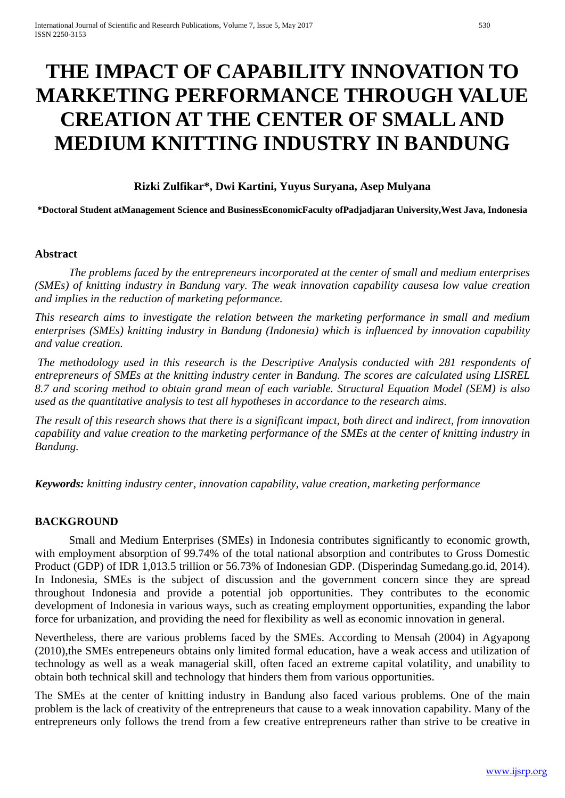# **THE IMPACT OF CAPABILITY INNOVATION TO MARKETING PERFORMANCE THROUGH VALUE CREATION AT THE CENTER OF SMALL AND MEDIUM KNITTING INDUSTRY IN BANDUNG**

# **Rizki Zulfikar\*, Dwi Kartini, Yuyus Suryana, Asep Mulyana**

**\*Doctoral Student atManagement Science and BusinessEconomicFaculty ofPadjadjaran University,West Java, Indonesia**

### **Abstract**

*The problems faced by the entrepreneurs incorporated at the center of small and medium enterprises (SMEs) of knitting industry in Bandung vary. The weak innovation capability causesa low value creation and implies in the reduction of marketing peformance.*

*This research aims to investigate the relation between the marketing performance in small and medium enterprises (SMEs) knitting industry in Bandung (Indonesia) which is influenced by innovation capability and value creation.*

*The methodology used in this research is the Descriptive Analysis conducted with 281 respondents of entrepreneurs of SMEs at the knitting industry center in Bandung. The scores are calculated using LISREL 8.7 and scoring method to obtain grand mean of each variable. Structural Equation Model (SEM) is also used as the quantitative analysis to test all hypotheses in accordance to the research aims.*

*The result of this research shows that there is a significant impact, both direct and indirect, from innovation capability and value creation to the marketing performance of the SMEs at the center of knitting industry in Bandung.*

*Keywords: knitting industry center, innovation capability, value creation, marketing performance*

#### **BACKGROUND**

Small and Medium Enterprises (SMEs) in Indonesia contributes significantly to economic growth, with employment absorption of 99.74% of the total national absorption and contributes to Gross Domestic Product (GDP) of IDR 1,013.5 trillion or 56.73% of Indonesian GDP. (Disperindag Sumedang.go.id, 2014). In Indonesia, SMEs is the subject of discussion and the government concern since they are spread throughout Indonesia and provide a potential job opportunities. They contributes to the economic development of Indonesia in various ways, such as creating employment opportunities, expanding the labor force for urbanization, and providing the need for flexibility as well as economic innovation in general.

Nevertheless, there are various problems faced by the SMEs. According to Mensah (2004) in Agyapong (2010),the SMEs entrepeneurs obtains only limited formal education, have a weak access and utilization of technology as well as a weak managerial skill, often faced an extreme capital volatility, and unability to obtain both technical skill and technology that hinders them from various opportunities.

The SMEs at the center of knitting industry in Bandung also faced various problems. One of the main problem is the lack of creativity of the entrepreneurs that cause to a weak innovation capability. Many of the entrepreneurs only follows the trend from a few creative entrepreneurs rather than strive to be creative in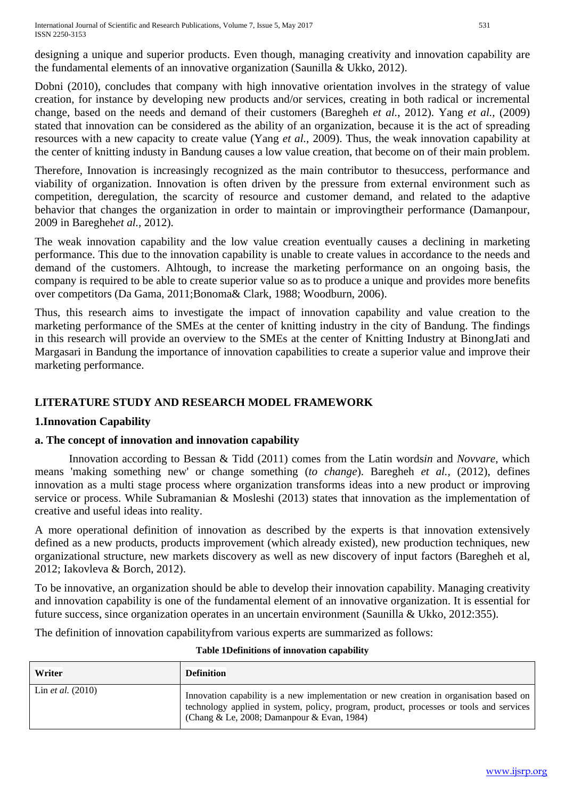International Journal of Scientific and Research Publications, Volume 7, Issue 5, May 2017 531 ISSN 2250-3153

designing a unique and superior products. Even though, managing creativity and innovation capability are the fundamental elements of an innovative organization (Saunilla & Ukko, 2012).

Dobni (2010), concludes that company with high innovative orientation involves in the strategy of value creation, for instance by developing new products and/or services, creating in both radical or incremental change, based on the needs and demand of their customers (Baregheh *et al.*, 2012). Yang *et al.,* (2009) stated that innovation can be considered as the ability of an organization, because it is the act of spreading resources with a new capacity to create value (Yang *et al.,* 2009). Thus, the weak innovation capability at the center of knitting industy in Bandung causes a low value creation, that become on of their main problem.

Therefore, Innovation is increasingly recognized as the main contributor to thesuccess, performance and viability of organization. Innovation is often driven by the pressure from external environment such as competition, deregulation, the scarcity of resource and customer demand, and related to the adaptive behavior that changes the organization in order to maintain or improvingtheir performance (Damanpour, 2009 in Baregheh*et al.,* 2012).

The weak innovation capability and the low value creation eventually causes a declining in marketing performance. This due to the innovation capability is unable to create values in accordance to the needs and demand of the customers. Alhtough, to increase the marketing performance on an ongoing basis, the company is required to be able to create superior value so as to produce a unique and provides more benefits over competitors (Da Gama, 2011;Bonoma& Clark, 1988; Woodburn, 2006).

Thus, this research aims to investigate the impact of innovation capability and value creation to the marketing performance of the SMEs at the center of knitting industry in the city of Bandung. The findings in this research will provide an overview to the SMEs at the center of Knitting Industry at BinongJati and Margasari in Bandung the importance of innovation capabilities to create a superior value and improve their marketing performance.

# **LITERATURE STUDY AND RESEARCH MODEL FRAMEWORK**

# **1.Innovation Capability**

# **a. The concept of innovation and innovation capability**

Innovation according to Bessan & Tidd (2011) comes from the Latin words*in* and *Novvare*, which means 'making something new' or change something (*to change*). Baregheh *et al.,* (2012), defines innovation as a multi stage process where organization transforms ideas into a new product or improving service or process. While Subramanian & Mosleshi (2013) states that innovation as the implementation of creative and useful ideas into reality.

A more operational definition of innovation as described by the experts is that innovation extensively defined as a new products, products improvement (which already existed), new production techniques, new organizational structure, new markets discovery as well as new discovery of input factors (Baregheh et al, 2012; Iakovleva & Borch, 2012).

To be innovative, an organization should be able to develop their innovation capability. Managing creativity and innovation capability is one of the fundamental element of an innovative organization. It is essential for future success, since organization operates in an uncertain environment (Saunilla & Ukko, 2012:355).

The definition of innovation capabilityfrom various experts are summarized as follows:

| Writer                     | <b>Definition</b>                                                                                                                                                                                                               |
|----------------------------|---------------------------------------------------------------------------------------------------------------------------------------------------------------------------------------------------------------------------------|
| Lin <i>et al.</i> $(2010)$ | Innovation capability is a new implementation or new creation in organisation based on<br>technology applied in system, policy, program, product, processes or tools and services<br>(Chang & Le, 2008; Damanpour & Evan, 1984) |

# **Table 1Definitions of innovation capability**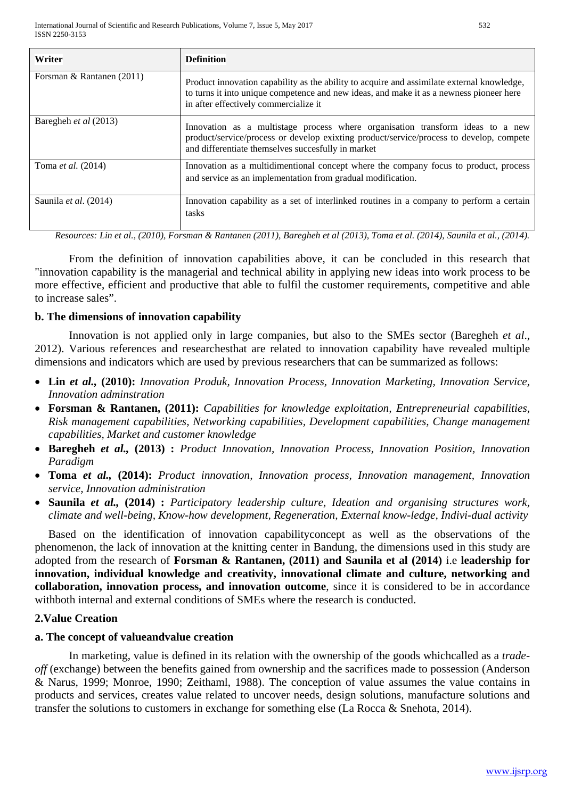| Writer                       | <b>Definition</b>                                                                                                                                                                                                               |  |
|------------------------------|---------------------------------------------------------------------------------------------------------------------------------------------------------------------------------------------------------------------------------|--|
| Forsman & Rantanen (2011)    | Product innovation capability as the ability to acquire and assimilate external knowledge,<br>to turns it into unique competence and new ideas, and make it as a newness pioneer here<br>in after effectively commercialize it  |  |
| Baregheh <i>et al</i> (2013) | Innovation as a multistage process where organisation transform ideas to a new<br>product/service/process or develop exixting product/service/process to develop, compete<br>and differentiate themselves succesfully in market |  |
| Toma <i>et al.</i> (2014)    | Innovation as a multidimentional concept where the company focus to product, process<br>and service as an implementation from gradual modification.                                                                             |  |
| Saunila et al. (2014)        | Innovation capability as a set of interlinked routines in a company to perform a certain<br>tasks                                                                                                                               |  |

*Resources: Lin et al., (2010), Forsman & Rantanen (2011), Baregheh et al (2013), Toma et al. (2014), Saunila et al., (2014).* 

From the definition of innovation capabilities above, it can be concluded in this research that "innovation capability is the managerial and technical ability in applying new ideas into work process to be more effective, efficient and productive that able to fulfil the customer requirements, competitive and able to increase sales".

# **b. The dimensions of innovation capability**

Innovation is not applied only in large companies, but also to the SMEs sector (Baregheh *et al*., 2012). Various references and researchesthat are related to innovation capability have revealed multiple dimensions and indicators which are used by previous researchers that can be summarized as follows:

- **Lin** *et al.,* **(2010):** *Innovation Produk, Innovation Process, Innovation Marketing, Innovation Service, Innovation adminstration*
- **Forsman & Rantanen, (2011):** *Capabilities for knowledge exploitation, Entrepreneurial capabilities, Risk management capabilities, Networking capabilities, Development capabilities, Change management capabilities, Market and customer knowledge*
- **Baregheh** *et al.,* **(2013) :** *Product Innovation, Innovation Process, Innovation Position, Innovation Paradigm*
- **Toma** *et al.,* **(2014):** *Product innovation, Innovation process, Innovation management, Innovation service, Innovation administration*
- **Saunila** *et al.,* **(2014) :** *Participatory leadership culture, Ideation and organising structures work, climate and well-being, Know-how development, Regeneration, External know-ledge, Indivi-dual activity*

Based on the identification of innovation capabilityconcept as well as the observations of the phenomenon, the lack of innovation at the knitting center in Bandung, the dimensions used in this study are adopted from the research of **Forsman & Rantanen, (2011) and Saunila et al (2014)** i.e **leadership for innovation, individual knowledge and creativity, innovational climate and culture, networking and collaboration, innovation process, and innovation outcome**, since it is considered to be in accordance withboth internal and external conditions of SMEs where the research is conducted.

# **2.Value Creation**

# **a. The concept of valueandvalue creation**

In marketing, value is defined in its relation with the ownership of the goods whichcalled as a *tradeoff* (exchange) between the benefits gained from ownership and the sacrifices made to possession (Anderson & Narus, 1999; Monroe, 1990; Zeithaml, 1988). The conception of value assumes the value contains in products and services, creates value related to uncover needs, design solutions, manufacture solutions and transfer the solutions to customers in exchange for something else (La Rocca & Snehota, 2014).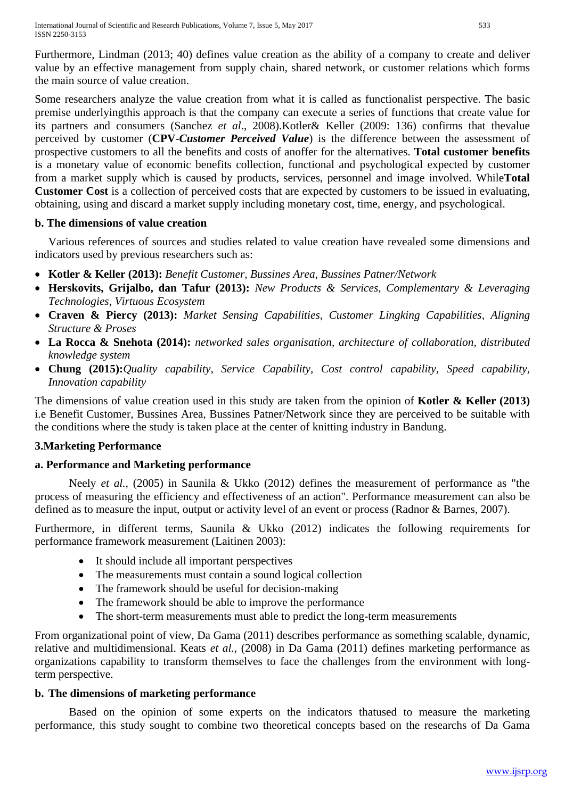International Journal of Scientific and Research Publications, Volume 7, Issue 5, May 2017 533 ISSN 2250-3153

Furthermore, Lindman (2013; 40) defines value creation as the ability of a company to create and deliver value by an effective management from supply chain, shared network, or customer relations which forms the main source of value creation.

Some researchers analyze the value creation from what it is called as functionalist perspective. The basic premise underlyingthis approach is that the company can execute a series of functions that create value for its partners and consumers (Sanchez *et al*., 2008).Kotler& Keller (2009: 136) confirms that thevalue perceived by customer (**CPV**-*Customer Perceived Value*) is the difference between the assessment of prospective customers to all the benefits and costs of anoffer for the alternatives. **Total customer benefits** is a monetary value of economic benefits collection, functional and psychological expected by customer from a market supply which is caused by products, services, personnel and image involved. While**Total Customer Cost** is a collection of perceived costs that are expected by customers to be issued in evaluating, obtaining, using and discard a market supply including monetary cost, time, energy, and psychological.

# **b. The dimensions of value creation**

Various references of sources and studies related to value creation have revealed some dimensions and indicators used by previous researchers such as:

- **Kotler & Keller (2013):** *Benefit Customer, Bussines Area, Bussines Patner/Network*
- **Herskovits, Grijalbo, dan Tafur (2013):** *New Products & Services, Complementary & Leveraging Technologies, Virtuous Ecosystem*
- **Craven & Piercy (2013):** *Market Sensing Capabilities, Customer Lingking Capabilities, Aligning Structure & Proses*
- **La Rocca & Snehota (2014):** *networked sales organisation, architecture of collaboration, distributed knowledge system*
- **Chung (2015):***Quality capability, Service Capability, Cost control capability, Speed capability, Innovation capability*

The dimensions of value creation used in this study are taken from the opinion of **Kotler & Keller (2013)** i.e Benefit Customer, Bussines Area, Bussines Patner/Network since they are perceived to be suitable with the conditions where the study is taken place at the center of knitting industry in Bandung.

# **3.Marketing Performance**

# **a. Performance and Marketing performance**

Neely *et al.,* (2005) in Saunila & Ukko (2012) defines the measurement of performance as "the process of measuring the efficiency and effectiveness of an action". Performance measurement can also be defined as to measure the input, output or activity level of an event or process (Radnor & Barnes, 2007).

Furthermore, in different terms, Saunila & Ukko (2012) indicates the following requirements for performance framework measurement (Laitinen 2003):

- It should include all important perspectives
- The measurements must contain a sound logical collection
- The framework should be useful for decision-making
- The framework should be able to improve the performance
- The short-term measurements must able to predict the long-term measurements

From organizational point of view, Da Gama (2011) describes performance as something scalable, dynamic, relative and multidimensional. Keats *et al.,* (2008) in Da Gama (2011) defines marketing performance as organizations capability to transform themselves to face the challenges from the environment with longterm perspective.

# **b. The dimensions of marketing performance**

Based on the opinion of some experts on the indicators thatused to measure the marketing performance, this study sought to combine two theoretical concepts based on the researchs of Da Gama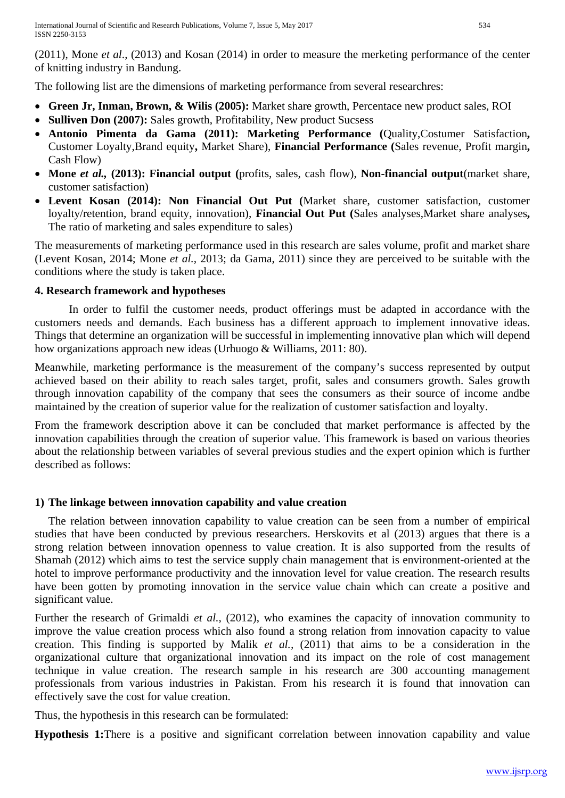(2011), Mone *et al*., (2013) and Kosan (2014) in order to measure the merketing performance of the center of knitting industry in Bandung.

The following list are the dimensions of marketing performance from several researchres:

- **Green Jr, Inman, Brown, & Wilis (2005):** Market share growth, Percentace new product sales, ROI
- **Sulliven Don (2007):** Sales growth, Profitability, New product Sucsess
- **Antonio Pimenta da Gama (2011): Marketing Performance (**Quality,Costumer Satisfaction**,**  Customer Loyalty,Brand equity**,** Market Share), **Financial Performance (**Sales revenue, Profit margin**,**  Cash Flow)
- **Mone** *et al.,* **(2013): Financial output (**profits, sales, cash flow), **Non-financial output**(market share, customer satisfaction)
- **Levent Kosan (2014): Non Financial Out Put (**Market share, customer satisfaction, customer loyalty/retention, brand equity, innovation), **Financial Out Put (**Sales analyses,Market share analyses**,**  The ratio of marketing and sales expenditure to sales)

The measurements of marketing performance used in this research are sales volume, profit and market share (Levent Kosan, 2014; Mone *et al.,* 2013; da Gama, 2011) since they are perceived to be suitable with the conditions where the study is taken place.

# **4. Research framework and hypotheses**

In order to fulfil the customer needs, product offerings must be adapted in accordance with the customers needs and demands. Each business has a different approach to implement innovative ideas. Things that determine an organization will be successful in implementing innovative plan which will depend how organizations approach new ideas (Urhuogo & Williams, 2011: 80).

Meanwhile, marketing performance is the measurement of the company's success represented by output achieved based on their ability to reach sales target, profit, sales and consumers growth. Sales growth through innovation capability of the company that sees the consumers as their source of income andbe maintained by the creation of superior value for the realization of customer satisfaction and loyalty.

From the framework description above it can be concluded that market performance is affected by the innovation capabilities through the creation of superior value. This framework is based on various theories about the relationship between variables of several previous studies and the expert opinion which is further described as follows:

# **1) The linkage between innovation capability and value creation**

The relation between innovation capability to value creation can be seen from a number of empirical studies that have been conducted by previous researchers. Herskovits et al (2013) argues that there is a strong relation between innovation openness to value creation. It is also supported from the results of Shamah (2012) which aims to test the service supply chain management that is environment-oriented at the hotel to improve performance productivity and the innovation level for value creation. The research results have been gotten by promoting innovation in the service value chain which can create a positive and significant value.

Further the research of Grimaldi *et al.,* (2012), who examines the capacity of innovation community to improve the value creation process which also found a strong relation from innovation capacity to value creation. This finding is supported by Malik *et al.,* (2011) that aims to be a consideration in the organizational culture that organizational innovation and its impact on the role of cost management technique in value creation. The research sample in his research are 300 accounting management professionals from various industries in Pakistan. From his research it is found that innovation can effectively save the cost for value creation.

Thus, the hypothesis in this research can be formulated:

**Hypothesis 1:**There is a positive and significant correlation between innovation capability and value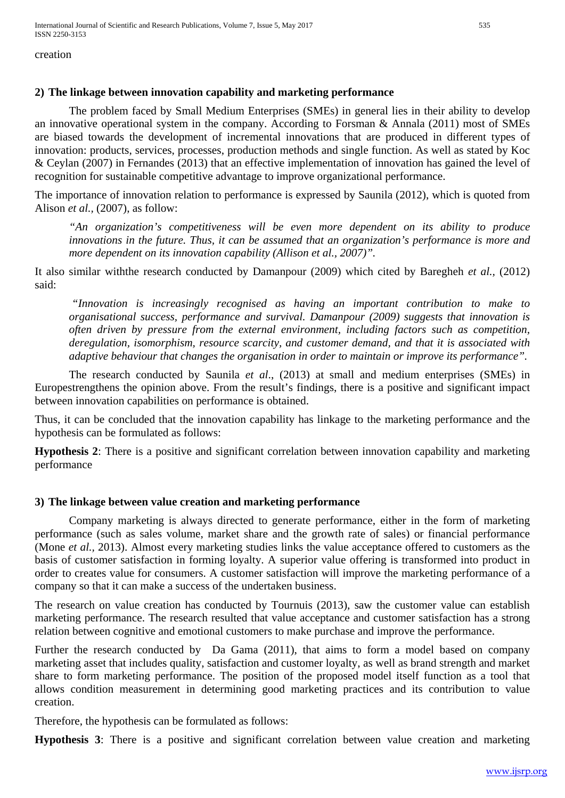International Journal of Scientific and Research Publications, Volume 7, Issue 5, May 2017 535 ISSN 2250-3153

creation

### **2) The linkage between innovation capability and marketing performance**

The problem faced by Small Medium Enterprises (SMEs) in general lies in their ability to develop an innovative operational system in the company. According to Forsman & Annala (2011) most of SMEs are biased towards the development of incremental innovations that are produced in different types of innovation: products, services, processes, production methods and single function. As well as stated by Koc & Ceylan (2007) in Fernandes (2013) that an effective implementation of innovation has gained the level of recognition for sustainable competitive advantage to improve organizational performance.

The importance of innovation relation to performance is expressed by Saunila (2012), which is quoted from Alison *et al.,* (2007), as follow:

*"An organization's competitiveness will be even more dependent on its ability to produce innovations in the future. Thus, it can be assumed that an organization's performance is more and more dependent on its innovation capability (Allison et al., 2007)".*

It also similar withthe research conducted by Damanpour (2009) which cited by Baregheh *et al.,* (2012) said:

*"Innovation is increasingly recognised as having an important contribution to make to organisational success, performance and survival. Damanpour (2009) suggests that innovation is often driven by pressure from the external environment, including factors such as competition, deregulation, isomorphism, resource scarcity, and customer demand, and that it is associated with adaptive behaviour that changes the organisation in order to maintain or improve its performance".*

The research conducted by Saunila *et al*., (2013) at small and medium enterprises (SMEs) in Europestrengthens the opinion above. From the result's findings, there is a positive and significant impact between innovation capabilities on performance is obtained.

Thus, it can be concluded that the innovation capability has linkage to the marketing performance and the hypothesis can be formulated as follows:

**Hypothesis 2**: There is a positive and significant correlation between innovation capability and marketing performance

# **3) The linkage between value creation and marketing performance**

Company marketing is always directed to generate performance, either in the form of marketing performance (such as sales volume, market share and the growth rate of sales) or financial performance (Mone *et al.,* 2013). Almost every marketing studies links the value acceptance offered to customers as the basis of customer satisfaction in forming loyalty. A superior value offering is transformed into product in order to creates value for consumers. A customer satisfaction will improve the marketing performance of a company so that it can make a success of the undertaken business.

The research on value creation has conducted by Tournuis (2013), saw the customer value can establish marketing performance. The research resulted that value acceptance and customer satisfaction has a strong relation between cognitive and emotional customers to make purchase and improve the performance.

Further the research conducted by Da Gama (2011), that aims to form a model based on company marketing asset that includes quality, satisfaction and customer loyalty, as well as brand strength and market share to form marketing performance. The position of the proposed model itself function as a tool that allows condition measurement in determining good marketing practices and its contribution to value creation.

Therefore, the hypothesis can be formulated as follows:

**Hypothesis 3**: There is a positive and significant correlation between value creation and marketing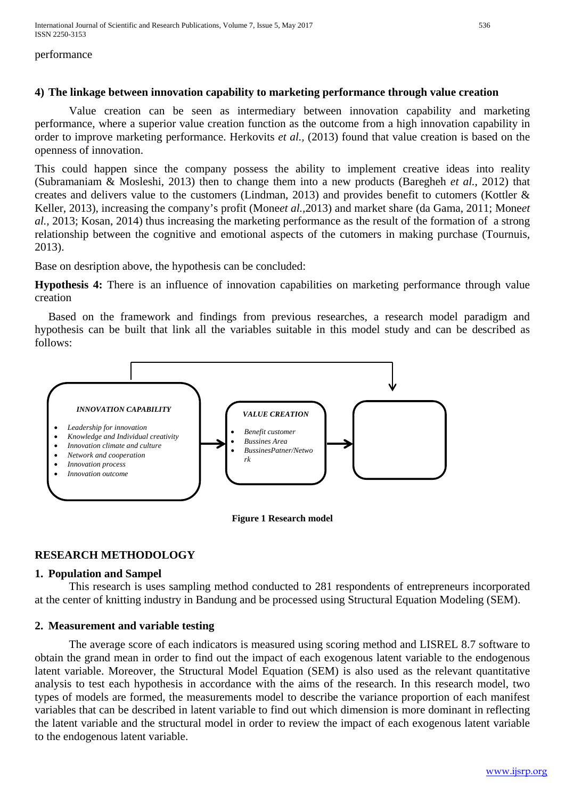International Journal of Scientific and Research Publications, Volume 7, Issue 5, May 2017 536 ISSN 2250-3153

#### performance

### **4) The linkage between innovation capability to marketing performance through value creation**

Value creation can be seen as intermediary between innovation capability and marketing performance, where a superior value creation function as the outcome from a high innovation capability in order to improve marketing performance. Herkovits *et al.,* (2013) found that value creation is based on the openness of innovation.

This could happen since the company possess the ability to implement creative ideas into reality (Subramaniam & Mosleshi, 2013) then to change them into a new products (Baregheh *et al.*, 2012) that creates and delivers value to the customers (Lindman, 2013) and provides benefit to cutomers (Kottler & Keller, 2013), increasing the company's profit (Mone*et al.,*2013) and market share (da Gama, 2011; Mone*et al.,* 2013; Kosan, 2014) thus increasing the marketing performance as the result of the formation of a strong relationship between the cognitive and emotional aspects of the cutomers in making purchase (Tournuis, 2013).

Base on desription above, the hypothesis can be concluded:

**Hypothesis 4:** There is an influence of innovation capabilities on marketing performance through value creation

Based on the framework and findings from previous researches, a research model paradigm and hypothesis can be built that link all the variables suitable in this model study and can be described as follows:





# **RESEARCH METHODOLOGY**

#### **1. Population and Sampel**

This research is uses sampling method conducted to 281 respondents of entrepreneurs incorporated at the center of knitting industry in Bandung and be processed using Structural Equation Modeling (SEM).

# **2. Measurement and variable testing**

The average score of each indicators is measured using scoring method and LISREL 8.7 software to obtain the grand mean in order to find out the impact of each exogenous latent variable to the endogenous latent variable. Moreover, the Structural Model Equation (SEM) is also used as the relevant quantitative analysis to test each hypothesis in accordance with the aims of the research. In this research model, two types of models are formed, the measurements model to describe the variance proportion of each manifest variables that can be described in latent variable to find out which dimension is more dominant in reflecting the latent variable and the structural model in order to review the impact of each exogenous latent variable to the endogenous latent variable.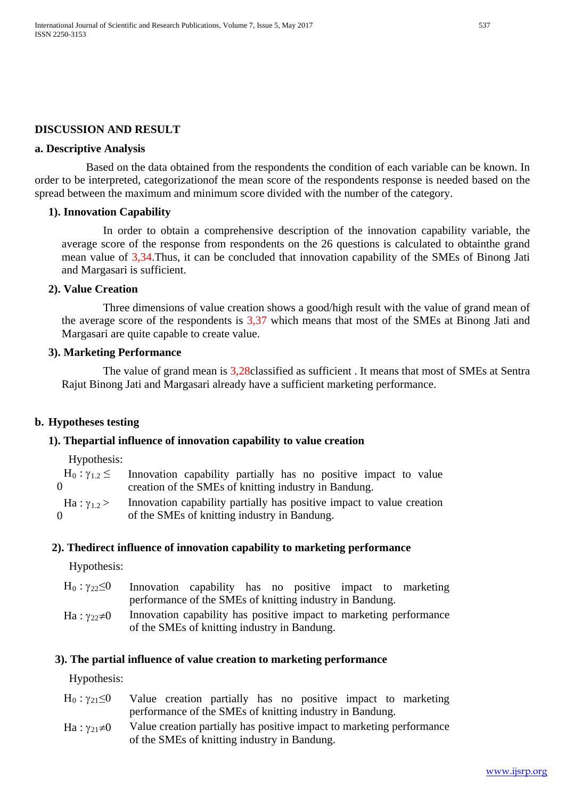## **DISCUSSION AND RESULT**

#### **a. Descriptive Analysis**

Based on the data obtained from the respondents the condition of each variable can be known. In order to be interpreted, categorizationof the mean score of the respondents response is needed based on the spread between the maximum and minimum score divided with the number of the category.

#### **1). Innovation Capability**

In order to obtain a comprehensive description of the innovation capability variable, the average score of the response from respondents on the 26 questions is calculated to obtainthe grand mean value of 3,34.Thus, it can be concluded that innovation capability of the SMEs of Binong Jati and Margasari is sufficient.

#### **2). Value Creation**

Three dimensions of value creation shows a good/high result with the value of grand mean of the average score of the respondents is 3,37 which means that most of the SMEs at Binong Jati and Margasari are quite capable to create value.

#### **3). Marketing Performance**

The value of grand mean is 3,28classified as sufficient . It means that most of SMEs at Sentra Rajut Binong Jati and Margasari already have a sufficient marketing performance.

#### **b. Hypotheses testing**

#### **1). Thepartial influence of innovation capability to value creation**

Hypothesis:

|                    | $H_0: \gamma_{1,2} \leq$ Innovation capability partially has no positive impact to value |
|--------------------|------------------------------------------------------------------------------------------|
| $\Omega$           | creation of the SMEs of knitting industry in Bandung.                                    |
| Ha: $\gamma_{1,2}$ | Innovation capability partially has positive impact to value creation                    |
| 0                  | of the SMEs of knitting industry in Bandung.                                             |

#### **2). Thedirect influence of innovation capability to marketing performance**

Hypothesis:

- $H_0: \gamma_{22} \leq 0$  Innovation capability has no positive impact to marketing performance of the SMEs of knitting industry in Bandung.
- Ha :  $\gamma_{22} \neq 0$  Innovation capability has positive impact to marketing performance of the SMEs of knitting industry in Bandung.

#### **3). The partial influence of value creation to marketing performance**

Hypothesis:

- $H_0: \gamma_{21} \leq 0$  Value creation partially has no positive impact to marketing performance of the SMEs of knitting industry in Bandung.
- Ha :  $\gamma_{21} \neq 0$  Value creation partially has positive impact to marketing performance of the SMEs of knitting industry in Bandung.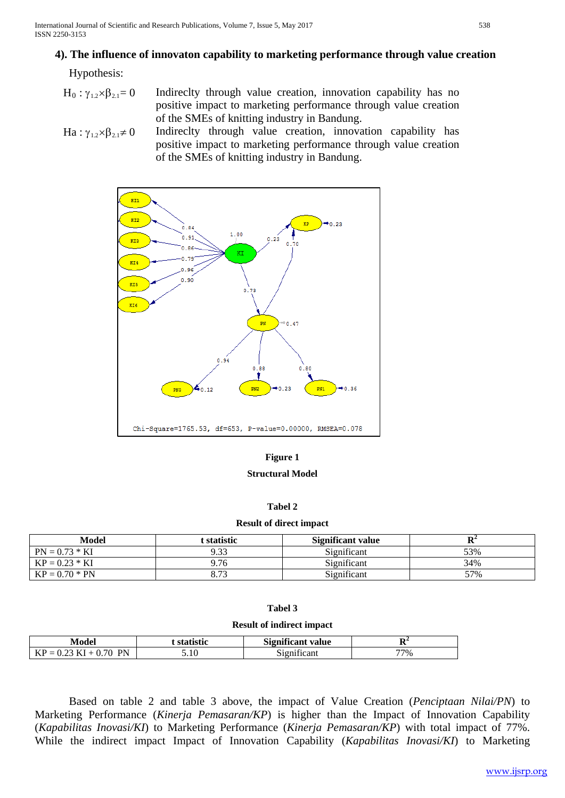# **4). The influence of innovaton capability to marketing performance through value creation**

Hypothesis:

- $H_0: \gamma_{1,2} \times \beta_{2,1}= 0$  Indireclty through value creation, innovation capability has no positive impact to marketing performance through value creation of the SMEs of knitting industry in Bandung.
- Ha :  $\gamma_{1,2} \times \beta_{2,1} \neq 0$  Indireclty through value creation, innovation capability has positive impact to marketing performance through value creation of the SMEs of knitting industry in Bandung.



#### **Figure 1**

#### **Structural Model**

#### **Tabel 2**

#### **Result of direct impact**

| Model            | t <b>statistic</b> | <b>Significant value</b> |     |
|------------------|--------------------|--------------------------|-----|
| $PN = 0.73 * KI$ | 9.33               | Significant              | 53% |
| $KP = 0.23 * KI$ | 9.76               | Significant              | 34% |
| $KP = 0.70 * PN$ | 8.73               | Significant              | 57% |

#### **Tabel 3**

#### **Result of indirect impact**

| Model                                                                 | <b>statistic</b> | <b>Significant</b><br>value | D.<br>v |
|-----------------------------------------------------------------------|------------------|-----------------------------|---------|
| <b>PN</b><br>ን 70<br>$\overline{\phantom{0}}$<br>.<br>MГ<br>n<br>◡.∠◡ | 5.10             | $\cdots$<br>12n1f1cant      | 77%     |

Based on table 2 and table 3 above, the impact of Value Creation (*Penciptaan Nilai/PN*) to Marketing Performance (*Kinerja Pemasaran/KP*) is higher than the Impact of Innovation Capability (*Kapabilitas Inovasi/KI*) to Marketing Performance (*Kinerja Pemasaran/KP*) with total impact of 77%. While the indirect impact Impact of Innovation Capability (*Kapabilitas Inovasi/KI*) to Marketing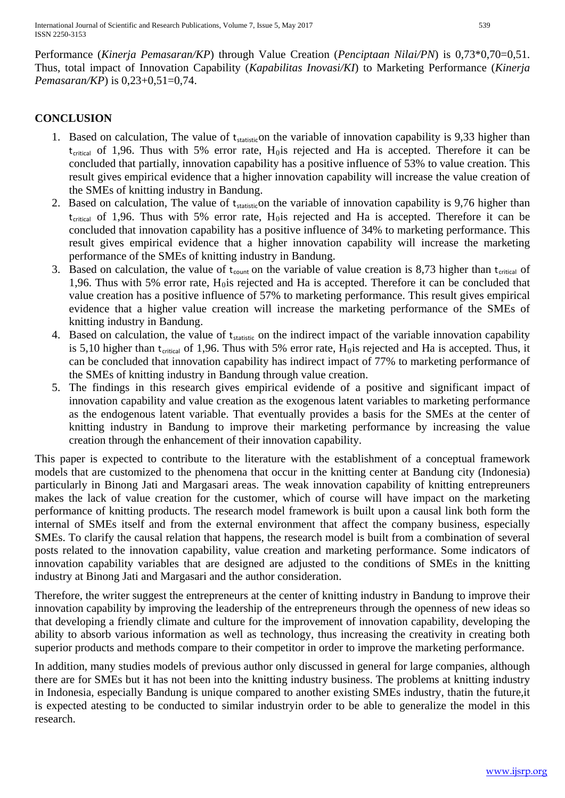Performance (*Kinerja Pemasaran/KP*) through Value Creation (*Penciptaan Nilai/PN*) is 0,73\*0,70=0,51. Thus, total impact of Innovation Capability (*Kapabilitas Inovasi/KI*) to Marketing Performance (*Kinerja Pemasaran/KP*) is 0,23+0,51=0,74.

# **CONCLUSION**

- 1. Based on calculation, The value of  $t_{statistic}$  on the variable of innovation capability is 9,33 higher than  $t_{critical}$  of 1,96. Thus with 5% error rate,  $H_0$  is rejected and Ha is accepted. Therefore it can be concluded that partially, innovation capability has a positive influence of 53% to value creation. This result gives empirical evidence that a higher innovation capability will increase the value creation of the SMEs of knitting industry in Bandung.
- 2. Based on calculation, The value of  $t_{statistic}$  on the variable of innovation capability is 9,76 higher than  $t_{critical}$  of 1,96. Thus with 5% error rate,  $H_0$  is rejected and Ha is accepted. Therefore it can be concluded that innovation capability has a positive influence of 34% to marketing performance. This result gives empirical evidence that a higher innovation capability will increase the marketing performance of the SMEs of knitting industry in Bandung.
- 3. Based on calculation, the value of  $t_{\text{count}}$  on the variable of value creation is 8,73 higher than  $t_{\text{critical}}$  of 1,96. Thus with 5% error rate,  $H_0$  is rejected and Ha is accepted. Therefore it can be concluded that value creation has a positive influence of 57% to marketing performance. This result gives empirical evidence that a higher value creation will increase the marketing performance of the SMEs of knitting industry in Bandung.
- 4. Based on calculation, the value of t<sub>statistic</sub> on the indirect impact of the variable innovation capability is 5,10 higher than  $t_{critical}$  of 1,96. Thus with 5% error rate,  $H_0$  is rejected and Ha is accepted. Thus, it can be concluded that innovation capability has indirect impact of 77% to marketing performance of the SMEs of knitting industry in Bandung through value creation.
- 5. The findings in this research gives empirical evidende of a positive and significant impact of innovation capability and value creation as the exogenous latent variables to marketing performance as the endogenous latent variable. That eventually provides a basis for the SMEs at the center of knitting industry in Bandung to improve their marketing performance by increasing the value creation through the enhancement of their innovation capability.

This paper is expected to contribute to the literature with the establishment of a conceptual framework models that are customized to the phenomena that occur in the knitting center at Bandung city (Indonesia) particularly in Binong Jati and Margasari areas. The weak innovation capability of knitting entrepreuners makes the lack of value creation for the customer, which of course will have impact on the marketing performance of knitting products. The research model framework is built upon a causal link both form the internal of SMEs itself and from the external environment that affect the company business, especially SMEs. To clarify the causal relation that happens, the research model is built from a combination of several posts related to the innovation capability, value creation and marketing performance. Some indicators of innovation capability variables that are designed are adjusted to the conditions of SMEs in the knitting industry at Binong Jati and Margasari and the author consideration.

Therefore, the writer suggest the entrepreneurs at the center of knitting industry in Bandung to improve their innovation capability by improving the leadership of the entrepreneurs through the openness of new ideas so that developing a friendly climate and culture for the improvement of innovation capability, developing the ability to absorb various information as well as technology, thus increasing the creativity in creating both superior products and methods compare to their competitor in order to improve the marketing performance.

In addition, many studies models of previous author only discussed in general for large companies, although there are for SMEs but it has not been into the knitting industry business. The problems at knitting industry in Indonesia, especially Bandung is unique compared to another existing SMEs industry, thatin the future,it is expected atesting to be conducted to similar industryin order to be able to generalize the model in this research.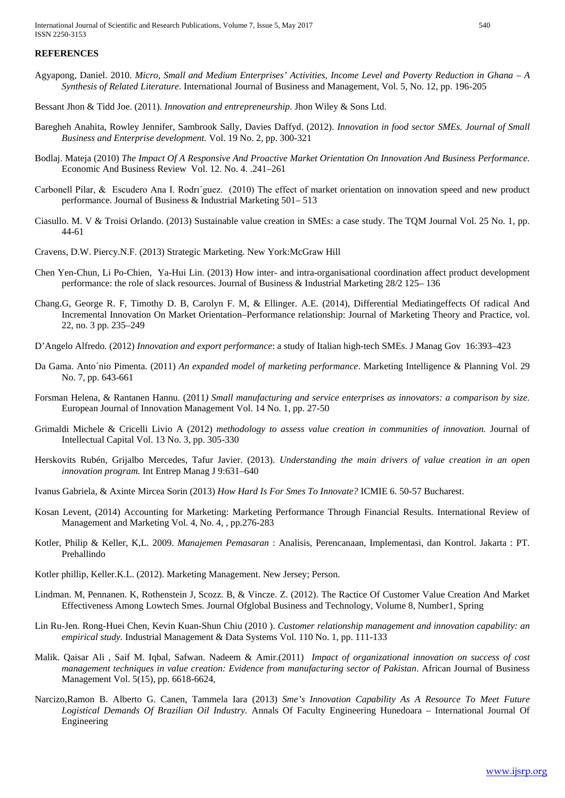International Journal of Scientific and Research Publications, Volume 7, Issue 5, May 2017 540 ISSN 2250-3153

#### **REFERENCES**

- Agyapong, Daniel. 2010. *Micro, Small and Medium Enterprises' Activities, Income Level and Poverty Reduction in Ghana – A Synthesis of Related Literature*. International Journal of Business and Management, Vol. 5, No. 12, pp. 196-205
- Bessant Jhon & Tidd Joe. (2011). *Innovation and entrepreneurship*. Jhon Wiley & Sons Ltd.
- Baregheh Anahita, Rowley Jennifer, Sambrook Sally, Davies Daffyd. (2012). *Innovation in food sector SMEs. Journal of Small Business and Enterprise development.* Vol. 19 No. 2, pp. 300-321
- Bodlaj. Mateja (2010) *The Impact Of A Responsive And Proactive Market Orientation On Innovation And Business Performance.* Economic And Business Review Vol. 12. No. 4. .241–261
- Carbonell Pilar, & Escudero Ana I. Rodrı´guez. (2010) The effect of market orientation on innovation speed and new product performance. Journal of Business & Industrial Marketing 501– 513
- Ciasullo. M. V & Troisi Orlando. (2013) Sustainable value creation in SMEs: a case study. The TQM Journal Vol. 25 No. 1, pp. 44-61
- Cravens, D.W. Piercy.N.F. (2013) Strategic Marketing. New York:McGraw Hill
- Chen Yen-Chun, Li Po-Chien, Ya-Hui Lin. (2013) How inter- and intra-organisational coordination affect product development performance: the role of slack resources. Journal of Business & Industrial Marketing 28/2 125– 136
- Chang.G, George R. F, Timothy D. B, Carolyn F. M, & Ellinger. A.E. (2014), Differential Mediatingeffects Of radical And Incremental Innovation On Market Orientation–Performance relationship: Journal of Marketing Theory and Practice, vol. 22, no. 3 pp. 235–249
- D'Angelo Alfredo. (2012) *Innovation and export performance*: a study of Italian high-tech SMEs. J Manag Gov 16:393–423
- Da Gama. Anto´nio Pimenta. (2011) *An expanded model of marketing performance*. Marketing Intelligence & Planning Vol. 29 No. 7, pp. 643-661
- Forsman Helena, & Rantanen Hannu. (2011*) Small manufacturing and service enterprises as innovators: a comparison by size.* European Journal of Innovation Management Vol. 14 No. 1, pp. 27-50
- Grimaldi Michele & Cricelli Livio A (2012) *methodology to assess value creation in communities of innovation.* Journal of Intellectual Capital Vol. 13 No. 3, pp. 305-330
- Herskovits Rubén, Grijalbo Mercedes, Tafur Javier. (2013). *Understanding the main drivers of value creation in an open innovation program.* Int Entrep Manag J 9:631–640
- Ivanus Gabriela, & Axinte Mircea Sorin (2013) *How Hard Is For Smes To Innovate?* ICMIE 6. 50-57 Bucharest.
- Kosan Levent, (2014) Accounting for Marketing: Marketing Performance Through Financial Results. International Review of Management and Marketing Vol. 4, No. 4, , pp.276-283
- Kotler, Philip & Keller, K,L. 2009. *Manajemen Pemasaran* : Analisis, Perencanaan, Implementasi, dan Kontrol. Jakarta : PT. Prehallindo
- Kotler phillip, Keller.K.L. (2012). Marketing Management. New Jersey; Person.
- Lindman. M, Pennanen. K, Rothenstein J, Scozz. B, & Vincze. Z. (2012). The Ractice Of Customer Value Creation And Market Effectiveness Among Lowtech Smes. Journal Ofglobal Business and Technology, Volume 8, Number1, Spring
- Lin Ru-Jen. Rong-Huei Chen, Kevin Kuan-Shun Chiu (2010 ). *Customer relationship management and innovation capability: an empirical study.* Industrial Management & Data Systems Vol. 110 No. 1, pp. 111-133
- Malik. Qaisar Ali , Saif M. Iqbal, Safwan. Nadeem & Amir.(2011) *Impact of organizational innovation on success of cost management techniques in value creation: Evidence from manufacturing sector of Pakistan*. African Journal of Business Management Vol. 5(15), pp. 6618-6624,
- Narcizo,Ramon B. Alberto G. Canen, Tammela Iara (2013) *Sme's Innovation Capability As A Resource To Meet Future Logistical Demands Of Brazilian Oil Industry.* Annals Of Faculty Engineering Hunedoara – International Journal Of Engineering